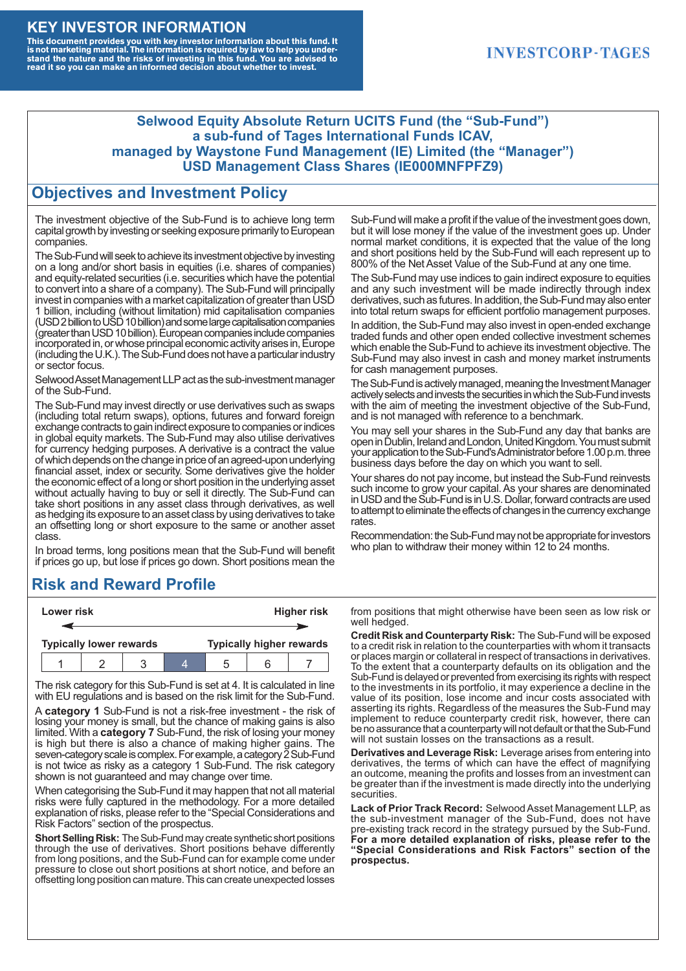#### **KEY INVESTOR INFORMATION**

This document provides you with key investor information about this fund. It<br>is not marketing material. The information is required by law to help you under-<br>stand the nature and the risks of investing in this fund. You ar

### **INVESTCORP-TAGES**

#### **Selwood Equity Absolute Return UCITS Fund (the "Sub-Fund") a sub-fund of Tages International Funds ICAV, managed by Waystone Fund Management (IE) Limited (the "Manager") USD Management Class Shares (IE000MNFPFZ9)**

#### **Objectives and Investment Policy**

The investment objective of the Sub-Fund is to achieve long term capital growth by investing or seeking exposure primarily to European companies.

The Sub-Fund will seek to achieve its investment objective by investing on a long and/or short basis in equities (i.e. shares of companies) and equity-related securities (i.e. securities which have the potential to convert into a share of a company). The Sub-Fund will principally invest in companies with a market capitalization of greater than USD 1 billion, including (without limitation) mid capitalisation companies (USD 2 billion to USD 10 billion) and some large capitalisation companies (greaterthanUSD10billion).European companiesinclude companies incorporated in, or whose principal economic activity arises in, Europe (including the U.K.). The Sub-Fund does not have a particular industry or sector focus.

Selwood Asset Management LLP act as the sub-investment manager of the Sub-Fund.

The Sub-Fund may invest directly or use derivatives such as swaps (including total return swaps), options, futures and forward foreign exchange contracts to gain indirect exposure to companies or indices in global equity markets. The Sub-Fund may also utilise derivatives for currency hedging purposes. A derivative is a contract the value ofwhich depends onthe change in price of an agreed-upon underlying financial asset, index or security. Some derivatives give the holder the economic effect of a long or short position in the underlying asset without actually having to buy or sell it directly. The Sub-Fund can take short positions in any asset class through derivatives, as well as hedging its exposure to an asset class by using derivatives to take an offsetting long or short exposure to the same or another asset class.

In broad terms, long positions mean that the Sub-Fund will benefit if prices go up, but lose if prices go down. Short positions mean the

# **Risk and Reward Profile**

|                                | Lower risk |  |  |                                 |  | <b>Higher risk</b> |
|--------------------------------|------------|--|--|---------------------------------|--|--------------------|
|                                |            |  |  |                                 |  |                    |
| <b>Typically lower rewards</b> |            |  |  | <b>Typically higher rewards</b> |  |                    |
|                                |            |  |  | :5                              |  |                    |

The risk category for this Sub-Fund is set at 4. It is calculated in line with EU regulations and is based on the risk limit for the Sub-Fund.

A **category 1** Sub-Fund is not a risk-free investment - the risk of losing your money is small, but the chance of making gains is also limited. With a **category 7** Sub-Fund, the risk of losing your money is high but there is also a chance of making higher gains. The seven-category scale is complex. For example, a category 2 Sub-Fund is not twice as risky as a category 1 Sub-Fund. The risk category shown is not guaranteed and may change over time.

When categorising the Sub-Fund it may happen that not all material risks were fully captured in the methodology. For a more detailed explanation of risks, please refer to the "Special Considerations and Risk Factors" section of the prospectus.

**Short Selling Risk:** The Sub-Fund may create synthetic short positions through the use of derivatives. Short positions behave differently from long positions, and the Sub-Fund can for example come under pressure to close out short positions at short notice, and before an offsetting long position can mature. This can create unexpected losses

Sub-Fund will make a profit if the value of the investment goes down, but it will lose money if the value of the investment goes up. Under normal market conditions, it is expected that the value of the long and short positions held by the Sub-Fund will each represent up to 800% of the Net Asset Value of the Sub-Fund at any one time.

The Sub-Fund may use indices to gain indirect exposure to equities and any such investment will be made indirectly through index derivatives, such as futures. In addition, the Sub-Fund may also enter into total return swaps for efficient portfolio management purposes.

In addition, the Sub-Fund may also invest in open-ended exchange traded funds and other open ended collective investment schemes which enable the Sub-Fund to achieve its investment objective. The Sub-Fund may also invest in cash and money market instruments for cash management purposes.

The Sub-Fund is actively managed, meaning the Investment Manager actively selects and invests the securities in which the Sub-Fund invests with the aim of meeting the investment objective of the Sub-Fund, and is not managed with reference to a benchmark.

You may sell your shares in the Sub-Fund any day that banks are open in Dublin, Ireland and London, United Kingdom. You must submit your application to the Sub-Fund's Administrator before 1.00 p.m. three business days before the day on which you want to sell.

Your shares do not pay income, but instead the Sub-Fund reinvests such income to grow your capital. As your shares are denominated in USD and the Sub-Fund is in U.S. Dollar, forward contracts are used to attempt to eliminate the effects of changes in the currency exchange rates.

Recommendation: the Sub-Fund may not be appropriate for investors who plan to withdraw their money within 12 to 24 months.

from positions that might otherwise have been seen as low risk or well hedged.

**Credit Risk and Counterparty Risk:** The Sub-Fund will be exposed to a credit risk in relation to the counterparties with whom it transacts or places margin or collateral in respect of transactions in derivatives. To the extent that a counterparty defaults on its obligation and the Sub-Fund is delayed or prevented from exercising its rights with respect to the investments in its portfolio, it may experience a decline in the value of its position, lose income and incur costs associated with asserting its rights. Regardless of the measures the Sub-Fund may implement to reduce counterparty credit risk, however, there can be no assurance that a counterparty will not default or that the Sub-Fund will not sustain losses on the transactions as a result.

**Derivatives and Leverage Risk:** Leverage arises from entering into derivatives, the terms of which can have the effect of magnifying an outcome, meaning the profits and losses from an investment can be greater than if the investment is made directly into the underlying **securities**.

**Lack of Prior Track Record:** Selwood Asset Management LLP, as the sub-investment manager of the Sub-Fund, does not have pre-existing track record in the strategy pursued by the Sub-Fund. **For a more detailed explanation of risks, please refer to the "Special Considerations and Risk Factors" section of the prospectus.**